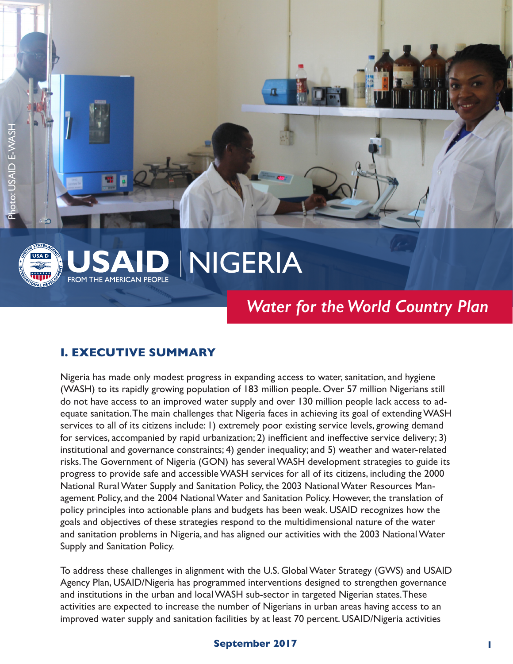



# NIGERIA **FROM THE AMERICAN PEOPLE**

# *Water for the World Country Plan*

## **I. EXECUTIVE SUMMARY**

Nigeria has made only modest progress in expanding access to water, sanitation, and hygiene (WASH) to its rapidly growing population of 183 million people. Over 57 million Nigerians still do not have access to an improved water supply and over 130 million people lack access to adequate sanitation.The main challenges that Nigeria faces in achieving its goal of extending WASH services to all of its citizens include: 1) extremely poor existing service levels, growing demand for services, accompanied by rapid urbanization; 2) inefficient and ineffective service delivery; 3) institutional and governance constraints; 4) gender inequality; and 5) weather and water-related risks.The Government of Nigeria (GON) has several WASH development strategies to guide its progress to provide safe and accessible WASH services for all of its citizens, including the 2000 National Rural Water Supply and Sanitation Policy, the 2003 National Water Resources Management Policy, and the 2004 National Water and Sanitation Policy. However, the translation of policy principles into actionable plans and budgets has been weak. USAID recognizes how the goals and objectives of these strategies respond to the multidimensional nature of the water and sanitation problems in Nigeria, and has aligned our activities with the 2003 National Water Supply and Sanitation Policy.

To address these challenges in alignment with the U.S. Global Water Strategy (GWS) and USAID Agency Plan, USAID/Nigeria has programmed interventions designed to strengthen governance and institutions in the urban and local WASH sub-sector in targeted Nigerian states.These activities are expected to increase the number of Nigerians in urban areas having access to an improved water supply and sanitation facilities by at least 70 percent. USAID/Nigeria activities

#### **September 2017** 1 **1 <b>1**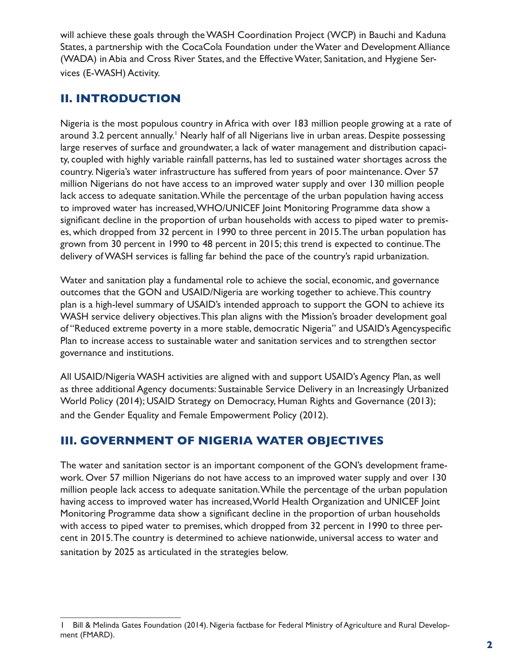will achieve these goals through the WASH Coordination Project (WCP) in Bauchi and Kaduna States, a partnership with the CocaCola Foundation under the Water and Development Alliance (WADA) in Abia and Cross River States, and the Effective Water, Sanitation, and Hygiene Services (E-WASH) Activity.

## **II. INTRODUCTION**

Nigeria is the most populous country in Africa with over 183 million people growing at a rate of around 3.2 percent annually.<sup>1</sup> Nearly half of all Nigerians live in urban areas. Despite possessing large reserves of surface and groundwater, a lack of water management and distribution capacity, coupled with highly variable rainfall patterns, has led to sustained water shortages across the country. Nigeria's water infrastructure has suffered from years of poor maintenance. Over 57 million Nigerians do not have access to an improved water supply and over 130 million people lack access to adequate sanitation.While the percentage of the urban population having access to improved water has increased,WHO/UNICEF Joint Monitoring Programme data show a significant decline in the proportion of urban households with access to piped water to premises, which dropped from 32 percent in 1990 to three percent in 2015.The urban population has grown from 30 percent in 1990 to 48 percent in 2015; this trend is expected to continue.The delivery of WASH services is falling far behind the pace of the country's rapid urbanization.

Water and sanitation play a fundamental role to achieve the social, economic, and governance outcomes that the GON and USAID/Nigeria are working together to achieve.This country plan is a high-level summary of USAID's intended approach to support the GON to achieve its WASH service delivery objectives.This plan aligns with the Mission's broader development goal of "Reduced extreme poverty in a more stable, democratic Nigeria" and USAID's Agencyspecific Plan to increase access to sustainable water and sanitation services and to strengthen sector governance and institutions.

All USAID/Nigeria WASH activities are aligned with and support USAID's Agency Plan, as well as three additional Agency documents: Sustainable Service Delivery in an Increasingly Urbanized World Policy (2014); USAID Strategy on Democracy, Human Rights and Governance (2013); and the Gender Equality and Female Empowerment Policy (2012).

# **III. GOVERNMENT OF NIGERIA WATER OBJECTIVES**

The water and sanitation sector is an important component of the GON's development framework. Over 57 million Nigerians do not have access to an improved water supply and over 130 million people lack access to adequate sanitation.While the percentage of the urban population having access to improved water has increased,World Health Organization and UNICEF Joint Monitoring Programme data show a significant decline in the proportion of urban households with access to piped water to premises, which dropped from 32 percent in 1990 to three percent in 2015.The country is determined to achieve nationwide, universal access to water and sanitation by 2025 as articulated in the strategies below.

<sup>1</sup> Bill & Melinda Gates Foundation (2014). Nigeria factbase for Federal Ministry of Agriculture and Rural Development (FMARD).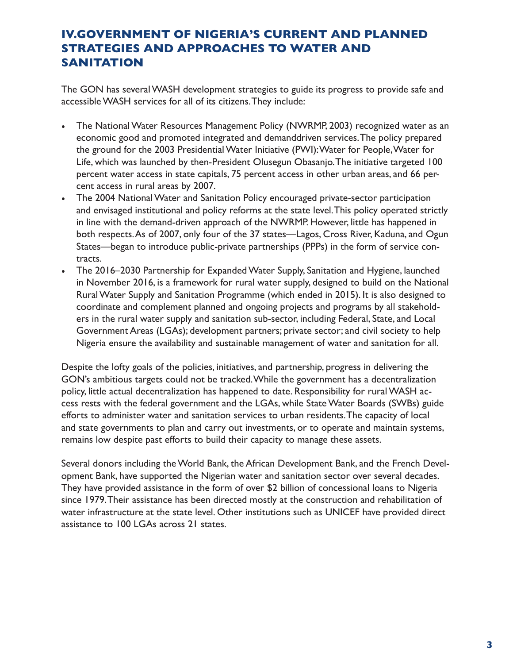## **IV.GOVERNMENT OF NIGERIA'S CURRENT AND PLANNED STRATEGIES AND APPROACHES TO WATER AND SANITATION**

The GON has several WASH development strategies to guide its progress to provide safe and accessible WASH services for all of its citizens.They include:

- The National Water Resources Management Policy (NWRMP, 2003) recognized water as an economic good and promoted integrated and demanddriven services.The policy prepared the ground for the 2003 Presidential Water Initiative (PWI):Water for People,Water for Life, which was launched by then-President Olusegun Obasanjo.The initiative targeted 100 percent water access in state capitals, 75 percent access in other urban areas, and 66 percent access in rural areas by 2007.
- The 2004 National Water and Sanitation Policy encouraged private-sector participation and envisaged institutional and policy reforms at the state level.This policy operated strictly in line with the demand-driven approach of the NWRMP. However, little has happened in both [respects.As](https://respects.As) of 2007, only four of the 37 states—Lagos, Cross River, Kaduna, and Ogun States—began to introduce public-private partnerships (PPPs) in the form of service contracts.
- The 2016–2030 Partnership for Expanded Water Supply, Sanitation and Hygiene, launched in November 2016, is a framework for rural water supply, designed to build on the National Rural Water Supply and Sanitation Programme (which ended in 2015). It is also designed to coordinate and complement planned and ongoing projects and programs by all stakeholders in the rural water supply and sanitation sub-sector, including Federal, State, and Local Government Areas (LGAs); development partners; private sector; and civil society to help Nigeria ensure the availability and sustainable management of water and sanitation for all.

Despite the lofty goals of the policies, initiatives, and partnership, progress in delivering the GON's ambitious targets could not be tracked.While the government has a decentralization policy, little actual decentralization has happened to date. Responsibility for rural WASH access rests with the federal government and the LGAs, while State Water Boards (SWBs) guide efforts to administer water and sanitation services to urban residents.The capacity of local and state governments to plan and carry out investments, or to operate and maintain systems, remains low despite past efforts to build their capacity to manage these assets.

Several donors including the World Bank, the African Development Bank, and the French Development Bank, have supported the Nigerian water and sanitation sector over several decades. They have provided assistance in the form of over \$2 billion of concessional loans to Nigeria since 1979.Their assistance has been directed mostly at the construction and rehabilitation of water infrastructure at the state level. Other institutions such as UNICEF have provided direct assistance to 100 LGAs across 21 states.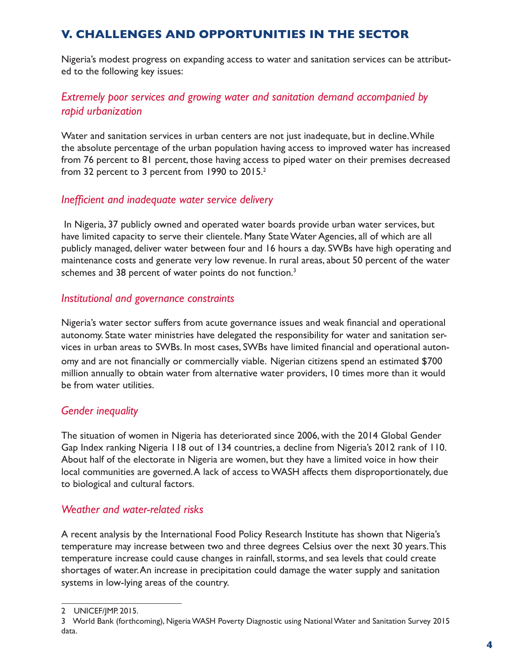## **V. CHALLENGES AND OPPORTUNITIES IN THE SECTOR**

Nigeria's modest progress on expanding access to water and sanitation services can be attributed to the following key issues:

## *Extremely poor services and growing water and sanitation demand accompanied by rapid urbanization*

Water and sanitation services in urban centers are not just inadequate, but in decline.While the absolute percentage of the urban population having access to improved water has increased from 76 percent to 81 percent, those having access to piped water on their premises decreased from 32 percent to 3 percent from 1990 to 2015.2

#### *Inefficient and inadequate water service delivery*

 In Nigeria, 37 publicly owned and operated water boards provide urban water services, but have limited capacity to serve their clientele. Many State Water Agencies, all of which are all publicly managed, deliver water between four and 16 hours a day. SWBs have high operating and maintenance costs and generate very low revenue. In rural areas, about 50 percent of the water schemes and 38 percent of water points do not function.<sup>3</sup>

#### *Institutional and governance constraints*

Nigeria's water sector suffers from acute governance issues and weak financial and operational autonomy. State water ministries have delegated the responsibility for water and sanitation services in urban areas to SWBs. In most cases, SWBs have limited financial and operational autonomy and are not financially or commercially viable. Nigerian citizens spend an estimated \$700 million annually to obtain water from alternative water providers, 10 times more than it would be from water utilities.

#### *Gender inequality*

The situation of women in Nigeria has deteriorated since 2006, with the 2014 Global Gender Gap Index ranking Nigeria 118 out of 134 countries, a decline from Nigeria's 2012 rank of 110. About half of the electorate in Nigeria are women, but they have a limited voice in how their local communities are governed.A lack of access to WASH affects them disproportionately, due to biological and cultural factors.

#### *Weather and water-related risks*

A recent analysis by the International Food Policy Research Institute has shown that Nigeria's temperature may increase between two and three degrees Celsius over the next 30 years.This temperature increase could cause changes in rainfall, storms, and sea levels that could create shortages of [water.An](https://water.An) increase in precipitation could damage the water supply and sanitation systems in low-lying areas of the country.

<sup>2</sup> UNICEF/JMP. 2015.

<sup>3</sup> World Bank (forthcoming), Nigeria WASH Poverty Diagnostic using National Water and Sanitation Survey 2015 data.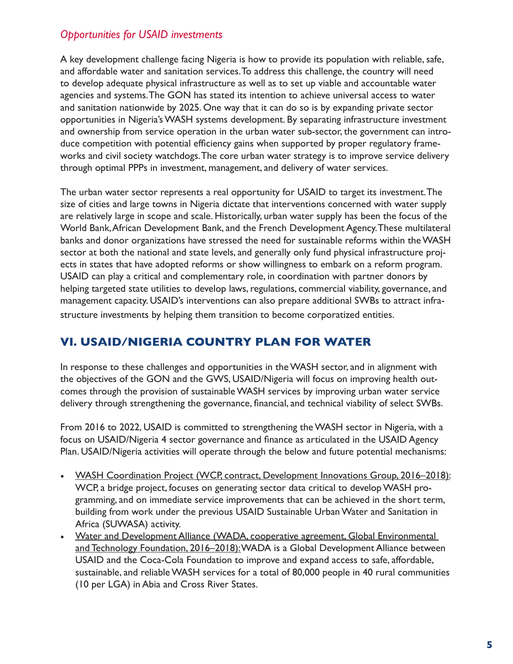### *Opportunities for USAID investments*

A key development challenge facing Nigeria is how to provide its population with reliable, safe, and affordable water and sanitation [services.To](https://services.To) address this challenge, the country will need to develop adequate physical infrastructure as well as to set up viable and accountable water agencies and systems.The GON has stated its intention to achieve universal access to water and sanitation nationwide by 2025. One way that it can do so is by expanding private sector opportunities in Nigeria's WASH systems development. By separating infrastructure investment and ownership from service operation in the urban water sub-sector, the government can introduce competition with potential efficiency gains when supported by proper regulatory frameworks and civil society watchdogs.The core urban water strategy is to improve service delivery through optimal PPPs in investment, management, and delivery of water services.

The urban water sector represents a real opportunity for USAID to target its investment.The size of cities and large towns in Nigeria dictate that interventions concerned with water supply are relatively large in scope and scale. Historically, urban water supply has been the focus of the World Bank,African Development Bank, and the French Development Agency.These multilateral banks and donor organizations have stressed the need for sustainable reforms within the WASH sector at both the national and state levels, and generally only fund physical infrastructure projects in states that have adopted reforms or show willingness to embark on a reform program. USAID can play a critical and complementary role, in coordination with partner donors by helping targeted state utilities to develop laws, regulations, commercial viability, governance, and management capacity. USAID's interventions can also prepare additional SWBs to attract infrastructure investments by helping them transition to become corporatized entities.

# **VI. USAID/NIGERIA COUNTRY PLAN FOR WATER**

In response to these challenges and opportunities in the WASH sector, and in alignment with the objectives of the GON and the GWS, USAID/Nigeria will focus on improving health outcomes through the provision of sustainable WASH services by improving urban water service delivery through strengthening the governance, financial, and technical viability of select SWBs.

From 2016 to 2022, USAID is committed to strengthening the WASH sector in Nigeria, with a focus on USAID/Nigeria 4 sector governance and finance as articulated in the USAID Agency Plan. USAID/Nigeria activities will operate through the below and future potential mechanisms:

- WASH Coordination Project (WCP, contract, Development Innovations Group, 2016–2018): WCP, a bridge project, focuses on generating sector data critical to develop WASH programming, and on immediate service improvements that can be achieved in the short term, building from work under the previous USAID Sustainable Urban Water and Sanitation in Africa (SUWASA) activity.
- Water and Development Alliance (WADA, cooperative agreement, Global Environmental and Technology Foundation, 2016–2018): WADA is a Global Development Alliance between USAID and the Coca-Cola Foundation to improve and expand access to safe, affordable, sustainable, and reliable WASH services for a total of 80,000 people in 40 rural communities (10 per LGA) in Abia and Cross River States.